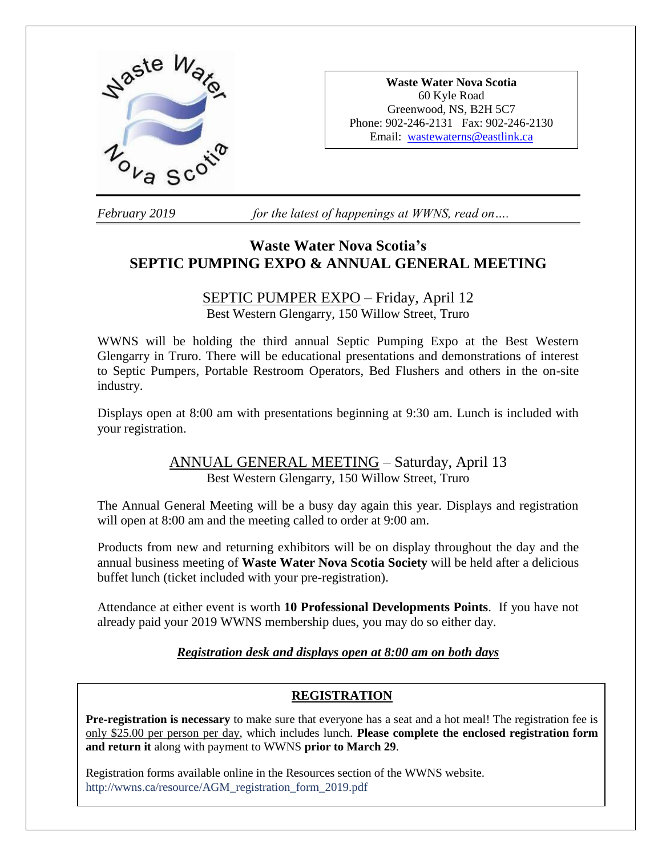

**Waste Water Nova Scotia** 60 Kyle Road Greenwood, NS, B2H 5C7 Phone: 902-246-2131 Fax: 902-246-2130 Email: [wastewaterns@eastlink.ca](mailto:wastewaterns@eastlink.ca)

*February 2019 for the latest of happenings at WWNS, read on….*

# **Waste Water Nova Scotia's SEPTIC PUMPING EXPO & ANNUAL GENERAL MEETING**

# SEPTIC PUMPER EXPO – Friday, April 12

Best Western Glengarry, 150 Willow Street, Truro

WWNS will be holding the third annual Septic Pumping Expo at the Best Western Glengarry in Truro. There will be educational presentations and demonstrations of interest to Septic Pumpers, Portable Restroom Operators, Bed Flushers and others in the on-site industry.

Displays open at 8:00 am with presentations beginning at 9:30 am. Lunch is included with your registration.

### ANNUAL GENERAL MEETING – Saturday, April 13 Best Western Glengarry, 150 Willow Street, Truro

The Annual General Meeting will be a busy day again this year. Displays and registration will open at 8:00 am and the meeting called to order at 9:00 am.

Products from new and returning exhibitors will be on display throughout the day and the annual business meeting of **Waste Water Nova Scotia Society** will be held after a delicious buffet lunch (ticket included with your pre-registration).

Attendance at either event is worth **10 Professional Developments Points**. If you have not already paid your 2019 WWNS membership dues, you may do so either day.

### *Registration desk and displays open at 8:00 am on both days*

### **REGISTRATION**

**Pre-registration is necessary** to make sure that everyone has a seat and a hot meal! The registration fee is only \$25.00 per person per day, which includes lunch. **Please complete the enclosed registration form and return it** along with payment to WWNS **prior to March 29**.

Registration forms available online in the Resources section of the WWNS website. http://wwns.ca/resource/AGM\_registration\_form\_2019.pdf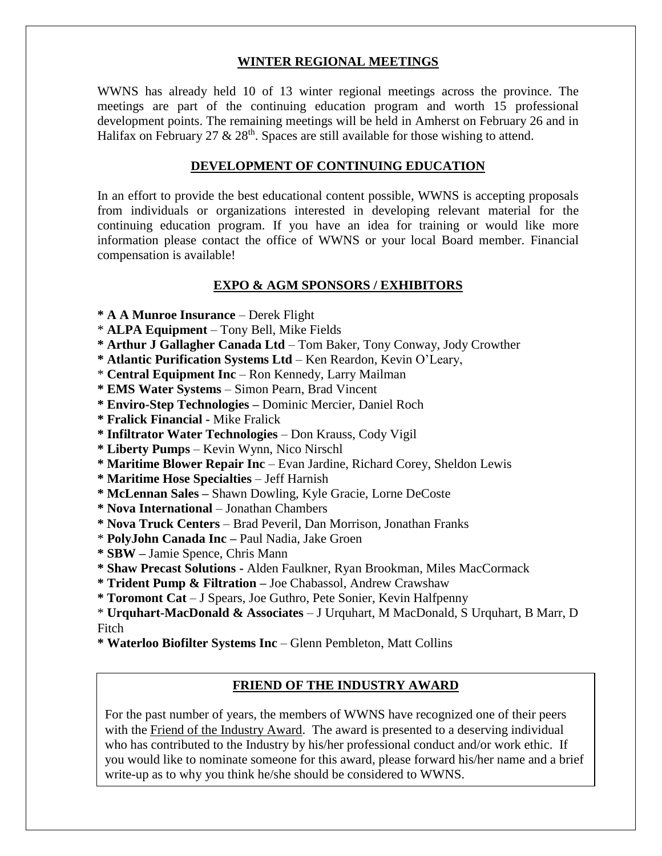#### **WINTER REGIONAL MEETINGS**

WWNS has already held 10 of 13 winter regional meetings across the province. The meetings are part of the continuing education program and worth 15 professional development points. The remaining meetings will be held in Amherst on February 26 and in Halifax on February 27  $\&$  28<sup>th</sup>. Spaces are still available for those wishing to attend.

#### **DEVELOPMENT OF CONTINUING EDUCATION**

In an effort to provide the best educational content possible, WWNS is accepting proposals from individuals or organizations interested in developing relevant material for the continuing education program. If you have an idea for training or would like more information please contact the office of WWNS or your local Board member. Financial compensation is available!

#### **EXPO & AGM SPONSORS / EXHIBITORS**

**\* A A Munroe Insurance** – Derek Flight

- \* **ALPA Equipment** Tony Bell, Mike Fields
- **\* Arthur J Gallagher Canada Ltd** Tom Baker, Tony Conway, Jody Crowther
- **\* Atlantic Purification Systems Ltd**  Ken Reardon, Kevin O'Leary,
- \* **Central Equipment Inc** Ron Kennedy, Larry Mailman

**\* EMS Water Systems** – Simon Pearn, Brad Vincent

- **\* Enviro-Step Technologies –** Dominic Mercier, Daniel Roch
- **\* Fralick Financial -** Mike Fralick
- **\* Infiltrator Water Technologies** Don Krauss, Cody Vigil
- **\* Liberty Pumps**  Kevin Wynn, Nico Nirschl
- **\* Maritime Blower Repair Inc** Evan Jardine, Richard Corey, Sheldon Lewis

**\* Maritime Hose Specialties** – Jeff Harnish

- **\* McLennan Sales –** Shawn Dowling, Kyle Gracie, Lorne DeCoste
- **\* Nova International**  Jonathan Chambers
- **\* Nova Truck Centers**  Brad Peveril, Dan Morrison, Jonathan Franks
- \* **PolyJohn Canada Inc –** Paul Nadia, Jake Groen
- **\* SBW –** Jamie Spence, Chris Mann
- **\* Shaw Precast Solutions -** Alden Faulkner, Ryan Brookman, Miles MacCormack
- **\* Trident Pump & Filtration –** Joe Chabassol, Andrew Crawshaw
- **\* Toromont Cat**  J Spears, Joe Guthro, Pete Sonier, Kevin Halfpenny

\* **Urquhart-MacDonald & Associates** – J Urquhart, M MacDonald, S Urquhart, B Marr, D Fitch

**\* Waterloo Biofilter Systems Inc** – Glenn Pembleton, Matt Collins

#### **FRIEND OF THE INDUSTRY AWARD**

For the past number of years, the members of WWNS have recognized one of their peers with the Friend of the Industry Award. The award is presented to a deserving individual who has contributed to the Industry by his/her professional conduct and/or work ethic. If you would like to nominate someone for this award, please forward his/her name and a brief write-up as to why you think he/she should be considered to WWNS.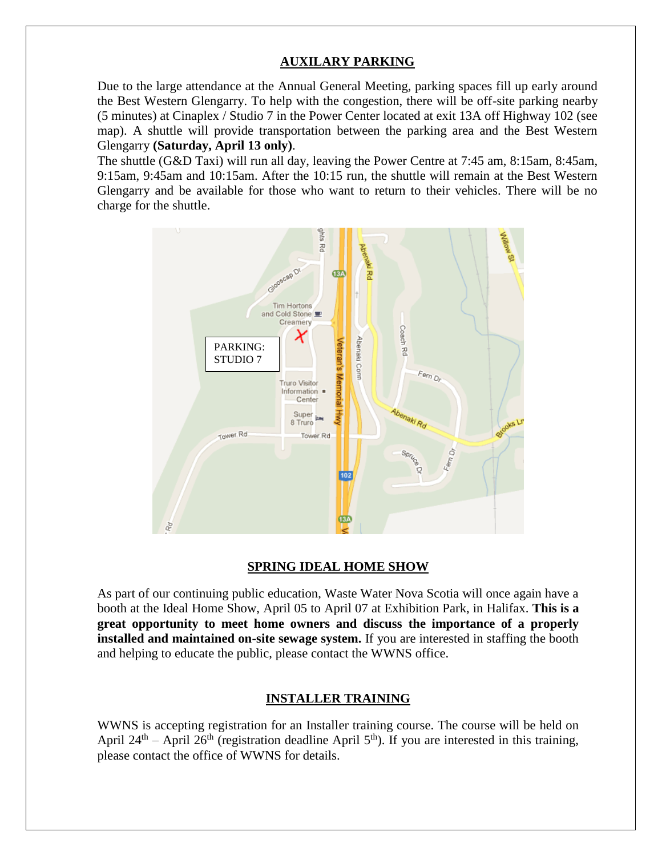### **AUXILARY PARKING**

Due to the large attendance at the Annual General Meeting, parking spaces fill up early around the Best Western Glengarry. To help with the congestion, there will be off-site parking nearby (5 minutes) at Cinaplex / Studio 7 in the Power Center located at exit 13A off Highway 102 (see map). A shuttle will provide transportation between the parking area and the Best Western Glengarry **(Saturday, April 13 only)**.

The shuttle (G&D Taxi) will run all day, leaving the Power Centre at 7:45 am, 8:15am, 8:45am, 9:15am, 9:45am and 10:15am. After the 10:15 run, the shuttle will remain at the Best Western Glengarry and be available for those who want to return to their vehicles. There will be no charge for the shuttle.



#### **SPRING IDEAL HOME SHOW**

As part of our continuing public education, Waste Water Nova Scotia will once again have a booth at the Ideal Home Show, April 05 to April 07 at Exhibition Park, in Halifax. **This is a great opportunity to meet home owners and discuss the importance of a properly installed and maintained on-site sewage system.** If you are interested in staffing the booth and helping to educate the public, please contact the WWNS office.

#### **INSTALLER TRAINING**

WWNS is accepting registration for an Installer training course. The course will be held on April 24<sup>th</sup> – April 26<sup>th</sup> (registration deadline April 5<sup>th</sup>). If you are interested in this training, please contact the office of WWNS for details.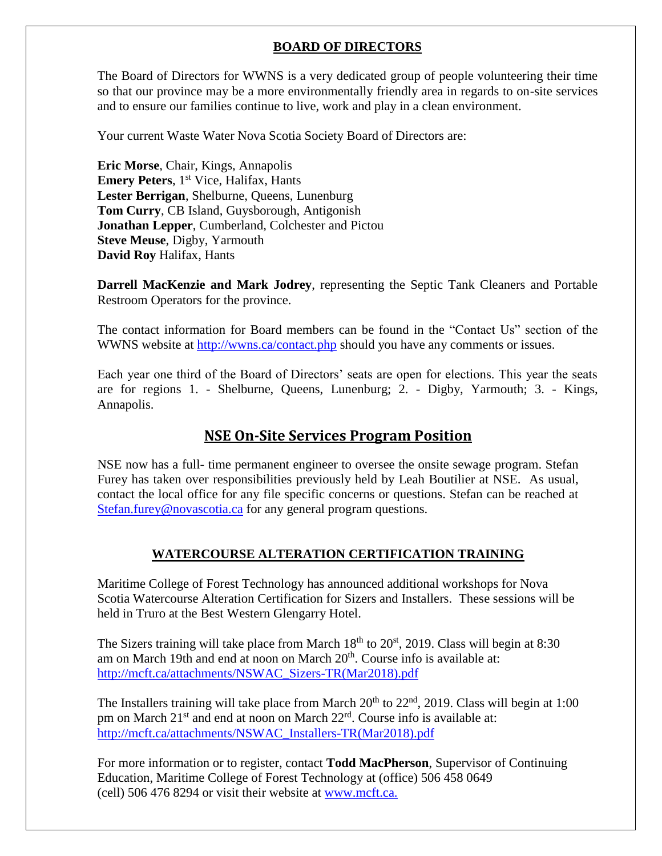### **BOARD OF DIRECTORS**

The Board of Directors for WWNS is a very dedicated group of people volunteering their time so that our province may be a more environmentally friendly area in regards to on-site services and to ensure our families continue to live, work and play in a clean environment.

Your current Waste Water Nova Scotia Society Board of Directors are:

**Eric Morse**, Chair, Kings, Annapolis **Emery Peters**, 1<sup>st</sup> Vice, Halifax, Hants **Lester Berrigan**, Shelburne, Queens, Lunenburg **Tom Curry**, CB Island, Guysborough, Antigonish **Jonathan Lepper**, Cumberland, Colchester and Pictou **Steve Meuse**, Digby, Yarmouth **David Roy** Halifax, Hants

**Darrell MacKenzie and Mark Jodrey**, representing the Septic Tank Cleaners and Portable Restroom Operators for the province.

The contact information for Board members can be found in the "Contact Us" section of the WWNS website at<http://wwns.ca/contact.php> should you have any comments or issues.

Each year one third of the Board of Directors' seats are open for elections. This year the seats are for regions 1. - Shelburne, Queens, Lunenburg; 2. - Digby, Yarmouth; 3. - Kings, Annapolis.

### **NSE On-Site Services Program Position**

NSE now has a full- time permanent engineer to oversee the onsite sewage program. Stefan Furey has taken over responsibilities previously held by Leah Boutilier at NSE. As usual, contact the local office for any file specific concerns or questions. Stefan can be reached at [Stefan.furey@novascotia.ca](mailto:Stefan.furey@novascotia.ca) for any general program questions.

### **WATERCOURSE ALTERATION CERTIFICATION TRAINING**

Maritime College of Forest Technology has announced additional workshops for Nova Scotia Watercourse Alteration Certification for Sizers and Installers. These sessions will be held in Truro at the Best Western Glengarry Hotel.

The Sizers training will take place from March  $18<sup>th</sup>$  to  $20<sup>st</sup>$ , 2019. Class will begin at 8:30 am on March 19th and end at noon on March 20<sup>th</sup>. Course info is available at: [http://mcft.ca/attachments/NSWAC\\_Sizers-TR\(Mar2018\).pdf](http://mcft.ca/attachments/NSWAC_Sizers-TR(Mar2018).pdf)

The Installers training will take place from March  $20<sup>th</sup>$  to  $22<sup>nd</sup>$ ,  $2019$ . Class will begin at 1:00 pm on March 21<sup>st</sup> and end at noon on March 22<sup>rd</sup>. Course info is available at: [http://mcft.ca/attachments/NSWAC\\_Installers-TR\(Mar2018\).pdf](http://mcft.ca/attachments/NSWAC_Installers-TR(Mar2018).pdf)

For more information or to register, contact **Todd MacPherson**, Supervisor of Continuing Education, Maritime College of Forest Technology at (office) 506 458 0649 (cell) 506 476 8294 or visit their website at [www.mcft.ca.](http://mcft.ca/en/continuing-education/upcoming-courses)